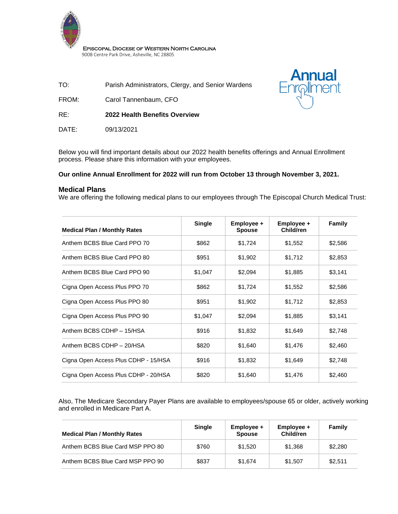

Episcopal Diocese of Western North Carolina 900B Centre Park Drive, Asheville, NC 28805

TO: Parish Administrators, Clergy, and Senior Wardens

FROM: Carol Tannenbaum, CFO

RE: **2022 Health Benefits Overview**

DATE: 09/13/2021



Below you will find important details about our 2022 health benefits offerings and Annual Enrollment process. Please share this information with your employees.

### **Our online Annual Enrollment for 2022 will run from October 13 through November 3, 2021.**

### **Medical Plans**

We are offering the following medical plans to our employees through The Episcopal Church Medical Trust:

| <b>Medical Plan / Monthly Rates</b>  | <b>Single</b> | Employee +<br><b>Spouse</b> | Employee +<br>Child/ren | <b>Family</b> |
|--------------------------------------|---------------|-----------------------------|-------------------------|---------------|
| Anthem BCBS Blue Card PPO 70         | \$862         | \$1,724                     | \$1,552                 | \$2,586       |
| Anthem BCBS Blue Card PPO 80         | \$951         | \$1,902                     | \$1,712                 | \$2,853       |
| Anthem BCBS Blue Card PPO 90         | \$1,047       | \$2,094                     | \$1,885                 | \$3,141       |
| Cigna Open Access Plus PPO 70        | \$862         | \$1,724                     | \$1,552                 | \$2,586       |
| Cigna Open Access Plus PPO 80        | \$951         | \$1,902                     | \$1,712                 | \$2,853       |
| Cigna Open Access Plus PPO 90        | \$1,047       | \$2,094                     | \$1,885                 | \$3,141       |
| Anthem BCBS CDHP - 15/HSA            | \$916         | \$1,832                     | \$1,649                 | \$2,748       |
| Anthem BCBS CDHP - 20/HSA            | \$820         | \$1,640                     | \$1,476                 | \$2,460       |
| Cigna Open Access Plus CDHP - 15/HSA | \$916         | \$1,832                     | \$1,649                 | \$2,748       |
| Cigna Open Access Plus CDHP - 20/HSA | \$820         | \$1,640                     | \$1,476                 | \$2,460       |

Also, The Medicare Secondary Payer Plans are available to employees/spouse 65 or older, actively working and enrolled in Medicare Part A.

| <b>Medical Plan / Monthly Rates</b> | <b>Single</b> | $Emplovee +$<br><b>Spouse</b> | $Emplovee +$<br>Child/ren | Family  |
|-------------------------------------|---------------|-------------------------------|---------------------------|---------|
| Anthem BCBS Blue Card MSP PPO 80    | \$760         | \$1.520                       | \$1,368                   | \$2,280 |
| Anthem BCBS Blue Card MSP PPO 90    | \$837         | \$1.674                       | \$1.507                   | \$2.511 |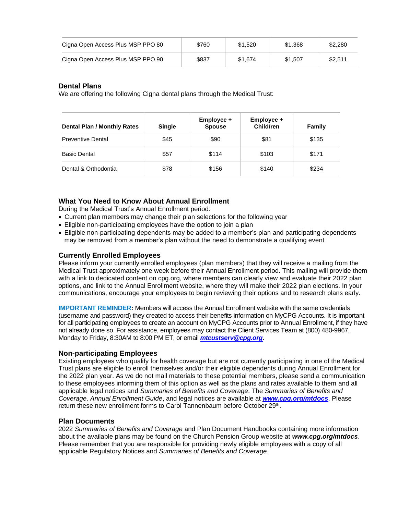| Cigna Open Access Plus MSP PPO 80 | \$760 | \$1,520 | \$1.368 | \$2,280 |
|-----------------------------------|-------|---------|---------|---------|
| Cigna Open Access Plus MSP PPO 90 | \$837 | \$1.674 | \$1.507 | \$2,511 |

#### **Dental Plans**

We are offering the following Cigna dental plans through the Medical Trust:

| <b>Dental Plan / Monthly Rates</b> | <b>Single</b> | Employee +<br><b>Spouse</b> | Employee +<br><b>Child/ren</b> | Family |
|------------------------------------|---------------|-----------------------------|--------------------------------|--------|
| <b>Preventive Dental</b>           | \$45          | \$90                        | \$81                           | \$135  |
| <b>Basic Dental</b>                | \$57          | \$114                       | \$103                          | \$171  |
| Dental & Orthodontia               | \$78          | \$156                       | \$140                          | \$234  |

## **What You Need to Know About Annual Enrollment**

During the Medical Trust's Annual Enrollment period:

- Current plan members may change their plan selections for the following year
- Eligible non-participating employees have the option to join a plan
- Eligible non-participating dependents may be added to a member's plan and participating dependents may be removed from a member's plan without the need to demonstrate a qualifying event

#### **Currently Enrolled Employees**

Please inform your currently enrolled employees (plan members) that they will receive a mailing from the Medical Trust approximately one week before their Annual Enrollment period. This mailing will provide them with a link to dedicated content on cpg.org, where members can clearly view and evaluate their 2022 plan options, and link to the Annual Enrollment website, where they will make their 2022 plan elections. In your communications, encourage your employees to begin reviewing their options and to research plans early.

**IMPORTANT REMINDER:** Members will access the Annual Enrollment website with the same credentials (username and password) they created to access their benefits information on MyCPG Accounts. It is important for all participating employees to create an account on MyCPG Accounts prior to Annual Enrollment, if they have not already done so. For assistance, employees may contact the Client Services Team at (800) 480-9967, Monday to Friday, 8:30AM to 8:00 PM ET, or email *[mtcustserv@cpg.org](mailto:mtcustserv@cpg.org)*.

#### **Non-participating Employees**

Existing employees who qualify for health coverage but are not currently participating in one of the Medical Trust plans are eligible to enroll themselves and/or their eligible dependents during Annual Enrollment for the 2022 plan year. As we do not mail materials to these potential members, please send a communication to these employees informing them of this option as well as the plans and rates available to them and all applicable legal notices and *Summaries of Benefits and Coverage*. The *Summaries of Benefits and Coverage, Annual Enrollment Guide*, and legal notices are available at *[www.cpg.org/mtdocs](http://www.cpg.org/mtdocs)*. Please return these new enrollment forms to Carol Tannenbaum before October 29<sup>th</sup>.

#### **Plan Documents**

2022 *Summaries of Benefits and Coverage* and Plan Document Handbooks containing more information about the available plans may be found on the Church Pension Group website at *www.cpg.org/mtdocs*. Please remember that you are responsible for providing newly eligible employees with a copy of all applicable Regulatory Notices and *Summaries of Benefits and Coverage*.